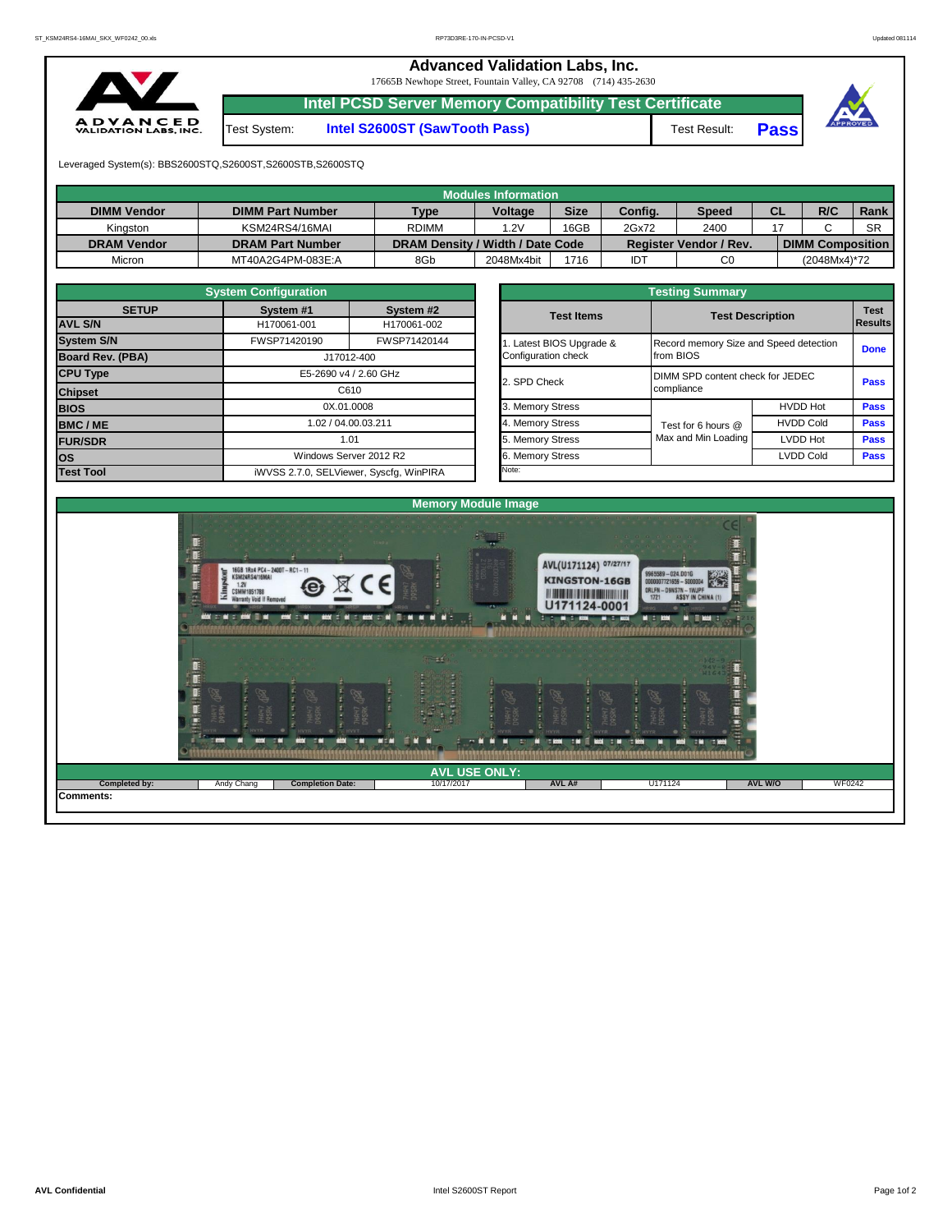## **Advanced Validation Labs, Inc.**

17665B Newhope Street, Fountain Valley, CA 92708 (714) 435-2630



Test System: **Intel S2600ST (SawTooth Pass)** Test Result: **Pass**

**Intel PCSD Server Memory Compatibility Test Certificate**



Leveraged System(s): BBS2600STQ,S2600ST,S2600STB,S2600STQ

| Modules Information |                         |                                  |                |             |         |                               |           |                         |           |  |  |  |  |  |
|---------------------|-------------------------|----------------------------------|----------------|-------------|---------|-------------------------------|-----------|-------------------------|-----------|--|--|--|--|--|
| <b>DIMM Vendor</b>  | <b>DIMM Part Number</b> | <b>Type</b>                      | <b>Voltage</b> | <b>Size</b> | Config. | <b>Speed</b>                  | <b>CL</b> | R/C                     | Rank      |  |  |  |  |  |
| Kinaston            | KSM24RS4/16MAI          | <b>RDIMM</b>                     | .2V            | 16GB        | 2Gx72   | 2400                          |           |                         | <b>SR</b> |  |  |  |  |  |
| <b>DRAM Vendor</b>  | <b>DRAM Part Number</b> | DRAM Density / Width / Date Code |                |             |         | <b>Register Vendor / Rev.</b> |           | <b>DIMM Composition</b> |           |  |  |  |  |  |
| Micron              | MT40A2G4PM-083E:A       | 8Gb                              | 2048Mx4bit     | 1716        | IDT     | C0                            |           | (2048Mx4)*72            |           |  |  |  |  |  |

|                                | <b>System Configuration</b>             |                          |  | <b>Testing Summary</b> |                                        |                        |             |  |  |  |  |  |  |  |
|--------------------------------|-----------------------------------------|--------------------------|--|------------------------|----------------------------------------|------------------------|-------------|--|--|--|--|--|--|--|
| <b>SETUP</b><br><b>AVL S/N</b> | System #1<br>H170061-001                | System #2<br>H170061-002 |  | <b>Test Items</b>      | <b>Test Description</b>                | <b>Test</b><br>Results |             |  |  |  |  |  |  |  |
| <b>System S/N</b>              | FWSP71420190                            | FWSP71420144             |  | Latest BIOS Upgrade &  | Record memory Size and Speed detection |                        | <b>Done</b> |  |  |  |  |  |  |  |
| Board Rev. (PBA)               |                                         | J17012-400               |  | Configuration check    | from BIOS                              |                        |             |  |  |  |  |  |  |  |
| <b>CPU Type</b>                | E5-2690 v4 / 2.60 GHz                   |                          |  | 2. SPD Check           | DIMM SPD content check for JEDEC       |                        |             |  |  |  |  |  |  |  |
| <b>Chipset</b>                 | C610                                    |                          |  |                        | compliance                             | <b>Pass</b>            |             |  |  |  |  |  |  |  |
| <b>BIOS</b>                    | 0X.01.0008                              |                          |  | 3. Memory Stress       |                                        | <b>HVDD Hot</b>        | <b>Pass</b> |  |  |  |  |  |  |  |
| <b>BMC/ME</b>                  | 1.02 / 04.00.03.211<br>1.01             |                          |  | 4. Memory Stress       | Test for 6 hours @                     | <b>HVDD Cold</b>       | <b>Pass</b> |  |  |  |  |  |  |  |
| <b>FUR/SDR</b>                 |                                         |                          |  | 5. Memory Stress       | Max and Min Loading                    | LVDD Hot               | <b>Pass</b> |  |  |  |  |  |  |  |
| los                            |                                         | Windows Server 2012 R2   |  | 6. Memory Stress       |                                        | <b>LVDD Cold</b>       | <b>Pass</b> |  |  |  |  |  |  |  |
| <b>Test Tool</b>               | iWVSS 2.7.0, SELViewer, Syscfq, WinPIRA |                          |  | Note:                  |                                        |                        |             |  |  |  |  |  |  |  |